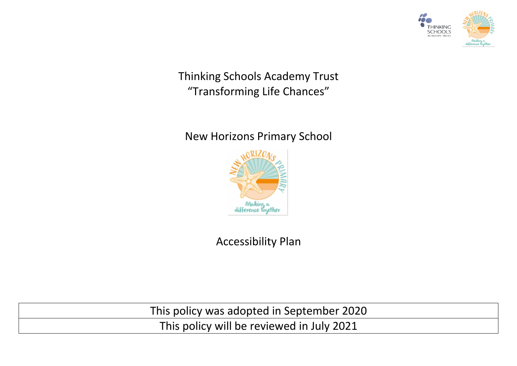

Thinking Schools Academy Trust "Transforming Life Chances"

# New Horizons Primary School



Accessibility Plan

This policy was adopted in September 2020

This policy will be reviewed in July 2021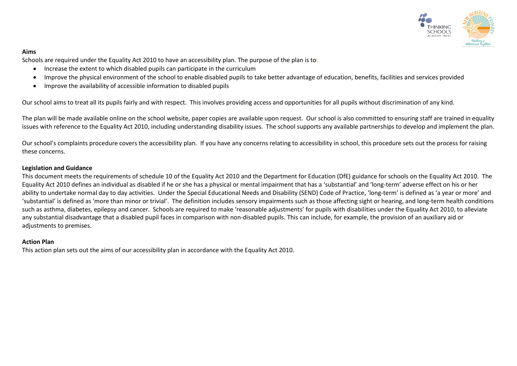

#### **Aims**

Schools are required under the Equality Act 2010 to have an accessibility plan. The purpose of the plan is to:

- Increase the extent to which disabled pupils can participate in the curriculum
- Improve the physical environment of the school to enable disabled pupils to take better advantage of education, benefits, facilities and services provided
- Improve the availability of accessible information to disabled pupils

Our school aims to treat all its pupils fairly and with respect. This involves providing access and opportunities for all pupils without discrimination of any kind.

The plan will be made available online on the school website, paper copies are available upon request. Our school is also committed to ensuring staff are trained in equality issues with reference to the Equality Act 2010, including understanding disability issues. The school supports any available partnerships to develop and implement the plan.

Our school's complaints procedure covers the accessibility plan. If you have any concerns relating to accessibility in school, this procedure sets out the process for raising these concerns.

#### **Legislation and Guidance**

This document meets the requirements of [schedule 10 of the Equality Act 2010](http://www.legislation.gov.uk/ukpga/2010/15/schedule/10) and the Department for Education (DfE[\) guidance for schools on the Equality Act 2010.](https://www.gov.uk/government/publications/equality-act-2010-advice-for-schools) The Equality Act 2010 defines an individual as disabled if he or she has a physical or mental impairment that has a 'substantial' and 'long-term' adverse effect on his or her ability to undertake normal day to day activities. Under the [Special Educational Needs and Disability \(SEND\) Code of Practice](https://www.gov.uk/government/publications/send-code-of-practice-0-to-25), 'long-term' is defined as 'a year or more' and 'substantial' is defined as 'more than minor or trivial'. The definition includes sensory impairments such as those affecting sight or hearing, and long-term health conditions such as asthma, diabetes, epilepsy and cancer. Schools are required to make 'reasonable adjustments' for pupils with disabilities under the Equality Act 2010, to alleviate any substantial disadvantage that a disabled pupil faces in comparison with non-disabled pupils. This can include, for example, the provision of an auxiliary aid or adjustments to premises.

#### **Action Plan**

This action plan sets out the aims of our accessibility plan in accordance with the Equality Act 2010.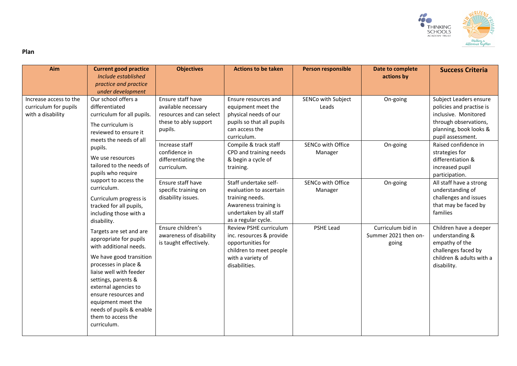

#### **Plan**

| Aim                                                                  | <b>Current good practice</b><br>Include established<br>practice and practice<br>under development                                                                                                                                                                                                                                                                  | <b>Objectives</b>                                                                                        | <b>Actions to be taken</b>                                                                                                                     | <b>Person responsible</b>    | Date to complete<br>actions by                     | <b>Success Criteria</b>                                                                                                                            |
|----------------------------------------------------------------------|--------------------------------------------------------------------------------------------------------------------------------------------------------------------------------------------------------------------------------------------------------------------------------------------------------------------------------------------------------------------|----------------------------------------------------------------------------------------------------------|------------------------------------------------------------------------------------------------------------------------------------------------|------------------------------|----------------------------------------------------|----------------------------------------------------------------------------------------------------------------------------------------------------|
| Increase access to the<br>curriculum for pupils<br>with a disability | Our school offers a<br>differentiated<br>curriculum for all pupils.<br>The curriculum is<br>reviewed to ensure it<br>meets the needs of all<br>pupils.<br>We use resources<br>tailored to the needs of<br>pupils who require<br>support to access the<br>curriculum.<br>Curriculum progress is<br>tracked for all pupils,<br>including those with a<br>disability. | Ensure staff have<br>available necessary<br>resources and can select<br>these to ably support<br>pupils. | Ensure resources and<br>equipment meet the<br>physical needs of our<br>pupils so that all pupils<br>can access the<br>curriculum.              | SENCo with Subject<br>Leads  | On-going                                           | Subject Leaders ensure<br>policies and practise is<br>inclusive. Monitored<br>through observations,<br>planning, book looks &<br>pupil assessment. |
|                                                                      |                                                                                                                                                                                                                                                                                                                                                                    | Increase staff<br>confidence in<br>differentiating the<br>curriculum.                                    | Compile & track staff<br>CPD and training needs<br>& begin a cycle of<br>training.                                                             | SENCo with Office<br>Manager | On-going                                           | Raised confidence in<br>strategies for<br>differentiation &<br>increased pupil<br>participation.                                                   |
|                                                                      |                                                                                                                                                                                                                                                                                                                                                                    | Ensure staff have<br>specific training on<br>disability issues.                                          | Staff undertake self-<br>evaluation to ascertain<br>training needs.<br>Awareness training is<br>undertaken by all staff<br>as a regular cycle. | SENCo with Office<br>Manager | On-going                                           | All staff have a strong<br>understanding of<br>challenges and issues<br>that may be faced by<br>families                                           |
|                                                                      | Targets are set and are<br>appropriate for pupils<br>with additional needs.<br>We have good transition<br>processes in place &<br>liaise well with feeder<br>settings, parents &<br>external agencies to<br>ensure resources and<br>equipment meet the<br>needs of pupils & enable<br>them to access the<br>curriculum.                                            | Ensure children's<br>awareness of disability<br>is taught effectively.                                   | Review PSHE curriculum<br>inc. resources & provide<br>opportunities for<br>children to meet people<br>with a variety of<br>disabilities.       | <b>PSHE Lead</b>             | Curriculum bid in<br>Summer 2021 then on-<br>going | Children have a deeper<br>understanding &<br>empathy of the<br>challenges faced by<br>children & adults with a<br>disability.                      |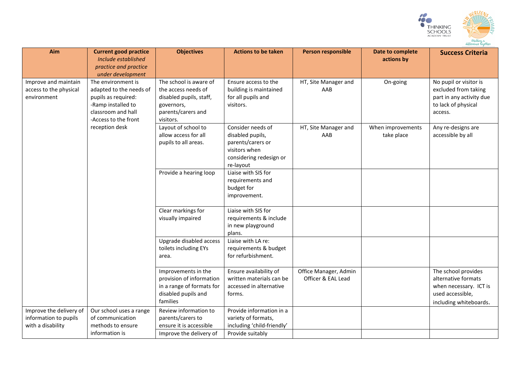

| Aim                                                                   | <b>Current good practice</b><br>Include established<br>practice and practice<br>under development                                                          | <b>Objectives</b>                                                                                                         | <b>Actions to be taken</b>                                                                                          | <b>Person responsible</b>                   | Date to complete<br>actions by  | <b>Success Criteria</b>                                                                                            |
|-----------------------------------------------------------------------|------------------------------------------------------------------------------------------------------------------------------------------------------------|---------------------------------------------------------------------------------------------------------------------------|---------------------------------------------------------------------------------------------------------------------|---------------------------------------------|---------------------------------|--------------------------------------------------------------------------------------------------------------------|
| Improve and maintain<br>access to the physical<br>environment         | The environment is<br>adapted to the needs of<br>pupils as required:<br>-Ramp installed to<br>classroom and hall<br>-Access to the front<br>reception desk | The school is aware of<br>the access needs of<br>disabled pupils, staff,<br>governors,<br>parents/carers and<br>visitors. | Ensure access to the<br>building is maintained<br>for all pupils and<br>visitors.                                   | HT, Site Manager and<br>AAB                 | On-going                        | No pupil or visitor is<br>excluded from taking<br>part in any activity due<br>to lack of physical<br>access.       |
|                                                                       |                                                                                                                                                            | Layout of school to<br>allow access for all<br>pupils to all areas.                                                       | Consider needs of<br>disabled pupils,<br>parents/carers or<br>visitors when<br>considering redesign or<br>re-layout | HT, Site Manager and<br>AAB                 | When improvements<br>take place | Any re-designs are<br>accessible by all                                                                            |
|                                                                       |                                                                                                                                                            | Provide a hearing loop                                                                                                    | Liaise with SIS for<br>requirements and<br>budget for<br>improvement.                                               |                                             |                                 |                                                                                                                    |
|                                                                       |                                                                                                                                                            | Clear markings for<br>visually impaired                                                                                   | Liaise with SIS for<br>requirements & include<br>in new playground<br>plans.                                        |                                             |                                 |                                                                                                                    |
|                                                                       |                                                                                                                                                            | Upgrade disabled access<br>toilets including EYs<br>area.                                                                 | Liaise with LA re:<br>requirements & budget<br>for refurbishment.                                                   |                                             |                                 |                                                                                                                    |
|                                                                       |                                                                                                                                                            | Improvements in the<br>provision of information<br>in a range of formats for<br>disabled pupils and<br>families           | Ensure availability of<br>written materials can be<br>accessed in alternative<br>forms.                             | Office Manager, Admin<br>Officer & EAL Lead |                                 | The school provides<br>alternative formats<br>when necessary. ICT is<br>used accessible,<br>including whiteboards. |
| Improve the delivery of<br>information to pupils<br>with a disability | Our school uses a range<br>of communication<br>methods to ensure<br>information is                                                                         | Review information to<br>parents/carers to<br>ensure it is accessible<br>Improve the delivery of                          | Provide information in a<br>variety of formats,<br>including 'child-friendly'<br>Provide suitably                   |                                             |                                 |                                                                                                                    |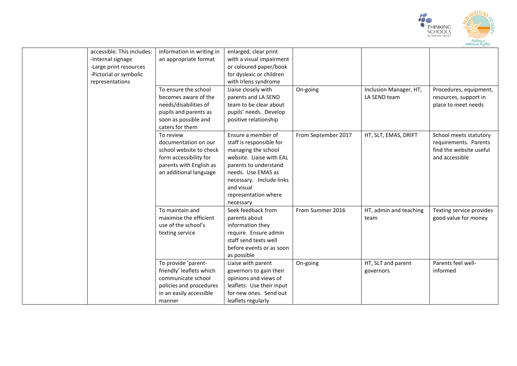

| accessible. This includes: | information in writing in | enlarged, clear print     |                     |                        |                          |
|----------------------------|---------------------------|---------------------------|---------------------|------------------------|--------------------------|
| -Internal signage          | an appropriate format     | with a visual impairment  |                     |                        |                          |
| -Large print resources     |                           | or coloured paper/book    |                     |                        |                          |
| -Pictorial or symbolic     |                           | for dyslexic or children  |                     |                        |                          |
| representations            |                           | with Irlens syndrome      |                     |                        |                          |
|                            | To ensure the school      | Liaise closely with       | On-going            | Inclusion Manager, HT, | Procedures, equipment,   |
|                            | becomes aware of the      | parents and LA SEND       |                     | LA SEND team           | resources, support in    |
|                            | needs/disabilities of     | team to be clear about    |                     |                        | place to meet needs      |
|                            | pupils and parents as     | pupils' needs. Develop    |                     |                        |                          |
|                            | soon as possible and      | positive relationship     |                     |                        |                          |
|                            | caters for them           |                           |                     |                        |                          |
|                            | To review                 | Ensure a member of        | From September 2017 | HT, SLT, EMAS, DRIFT   | School meets statutory   |
|                            | documentation on our      | staff is responsible for  |                     |                        | requirements. Parents    |
|                            | school website to check   | managing the school       |                     |                        | find the website useful  |
|                            | form accessibility for    | website. Liaise with EAL  |                     |                        | and accessible           |
|                            | parents with English as   | parents to understand     |                     |                        |                          |
|                            | an additional language    | needs. Use EMAS as        |                     |                        |                          |
|                            |                           | necessary. Include links  |                     |                        |                          |
|                            |                           | and visual                |                     |                        |                          |
|                            |                           | representation where      |                     |                        |                          |
|                            |                           | necessary                 |                     |                        |                          |
|                            | To maintain and           | Seek feedback from        | From Summer 2016    | HT, admin and teaching | Texting service provides |
|                            | maximise the efficient    | parents about             |                     | team                   | good value for money     |
|                            | use of the school's       | information they          |                     |                        |                          |
|                            | texting service           | require. Ensure admin     |                     |                        |                          |
|                            |                           | staff send texts well     |                     |                        |                          |
|                            |                           | before events or as soon  |                     |                        |                          |
|                            |                           | as possible               |                     |                        |                          |
|                            | To provide 'parent-       | Liaise with parent        | On-going            | HT, SLT and parent     | Parents feel well-       |
|                            | friendly' leaflets which  | governors to gain their   |                     | governors              | informed                 |
|                            | communicate school        | opinions and views of     |                     |                        |                          |
|                            | policies and procedures   | leaflets. Use their input |                     |                        |                          |
|                            | in an easily accessible   | for new ones. Send out    |                     |                        |                          |
|                            | manner                    | leaflets regularly        |                     |                        |                          |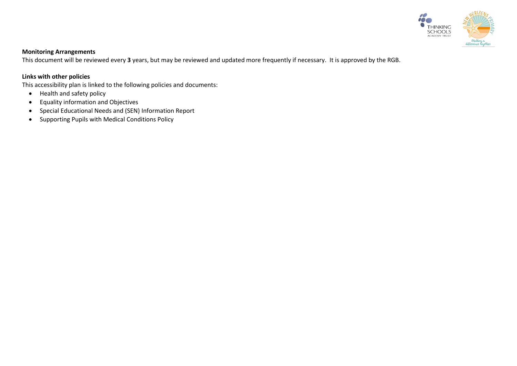

## **Monitoring Arrangements**

This document will be reviewed every **3** years, but may be reviewed and updated more frequently if necessary. It is approved by the RGB.

### **Links with other policies**

This accessibility plan is linked to the following policies and documents:

- Health and safety policy
- Equality information and Objectives
- Special Educational Needs and (SEN) Information Report
- Supporting Pupils with Medical Conditions Policy